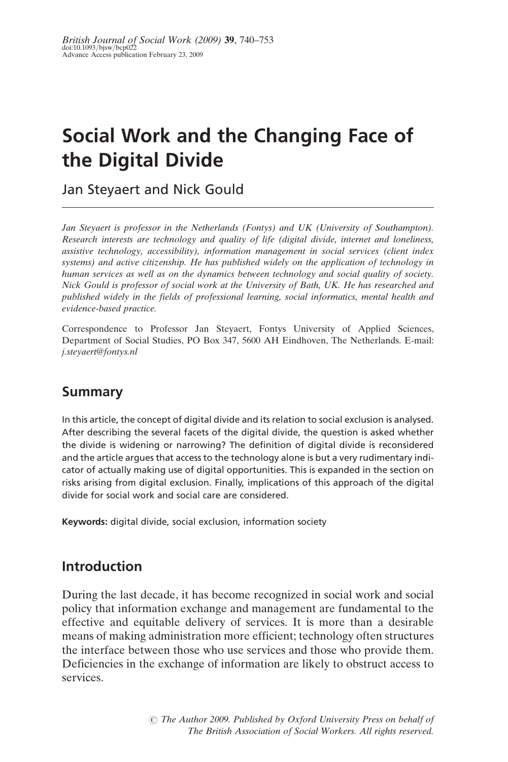# Social Work and the Changing Face of the Digital Divide

Jan Steyaert and Nick Gould

Jan Steyaert is professor in the Netherlands (Fontys) and UK (University of Southampton). Research interests are technology and quality of life (digital divide, internet and loneliness, assistive technology, accessibility), information management in social services (client index systems) and active citizenship. He has published widely on the application of technology in human services as well as on the dynamics between technology and social quality of society. Nick Gould is professor of social work at the University of Bath, UK. He has researched and published widely in the fields of professional learning, social informatics, mental health and evidence-based practice.

Correspondence to Professor Jan Steyaert, Fontys University of Applied Sciences, Department of Social Studies, PO Box 347, 5600 AH Eindhoven, The Netherlands. E-mail: j.steyaert@fontys.nl

## Summary

In this article, the concept of digital divide and its relation to social exclusion is analysed. After describing the several facets of the digital divide, the question is asked whether the divide is widening or narrowing? The definition of digital divide is reconsidered and the article argues that access to the technology alone is but a very rudimentary indicator of actually making use of digital opportunities. This is expanded in the section on risks arising from digital exclusion. Finally, implications of this approach of the digital divide for social work and social care are considered.

Keywords: digital divide, social exclusion, information society

#### Introduction

During the last decade, it has become recognized in social work and social policy that information exchange and management are fundamental to the effective and equitable delivery of services. It is more than a desirable means of making administration more efficient; technology often structures the interface between those who use services and those who provide them. Deficiencies in the exchange of information are likely to obstruct access to services.

> $\odot$  The Author 2009. Published by Oxford University Press on behalf of The British Association of Social Workers. All rights reserved.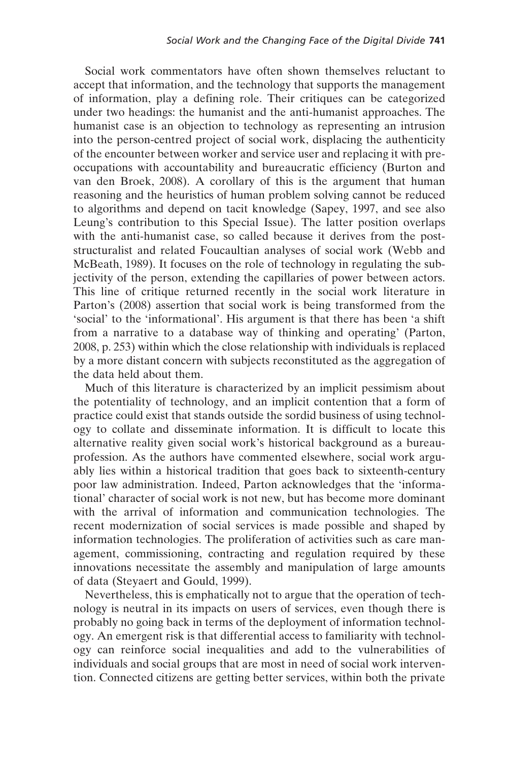Social work commentators have often shown themselves reluctant to accept that information, and the technology that supports the management of information, play a defining role. Their critiques can be categorized under two headings: the humanist and the anti-humanist approaches. The humanist case is an objection to technology as representing an intrusion into the person-centred project of social work, displacing the authenticity of the encounter between worker and service user and replacing it with preoccupations with accountability and bureaucratic efficiency (Burton and van den Broek, 2008). A corollary of this is the argument that human reasoning and the heuristics of human problem solving cannot be reduced to algorithms and depend on tacit knowledge (Sapey, 1997, and see also Leung's contribution to this Special Issue). The latter position overlaps with the anti-humanist case, so called because it derives from the poststructuralist and related Foucaultian analyses of social work (Webb and McBeath, 1989). It focuses on the role of technology in regulating the subjectivity of the person, extending the capillaries of power between actors. This line of critique returned recently in the social work literature in Parton's (2008) assertion that social work is being transformed from the 'social' to the 'informational'. His argument is that there has been 'a shift from a narrative to a database way of thinking and operating' (Parton, 2008, p. 253) within which the close relationship with individuals is replaced by a more distant concern with subjects reconstituted as the aggregation of the data held about them.

Much of this literature is characterized by an implicit pessimism about the potentiality of technology, and an implicit contention that a form of practice could exist that stands outside the sordid business of using technology to collate and disseminate information. It is difficult to locate this alternative reality given social work's historical background as a bureauprofession. As the authors have commented elsewhere, social work arguably lies within a historical tradition that goes back to sixteenth-century poor law administration. Indeed, Parton acknowledges that the 'informational' character of social work is not new, but has become more dominant with the arrival of information and communication technologies. The recent modernization of social services is made possible and shaped by information technologies. The proliferation of activities such as care management, commissioning, contracting and regulation required by these innovations necessitate the assembly and manipulation of large amounts of data (Steyaert and Gould, 1999).

Nevertheless, this is emphatically not to argue that the operation of technology is neutral in its impacts on users of services, even though there is probably no going back in terms of the deployment of information technology. An emergent risk is that differential access to familiarity with technology can reinforce social inequalities and add to the vulnerabilities of individuals and social groups that are most in need of social work intervention. Connected citizens are getting better services, within both the private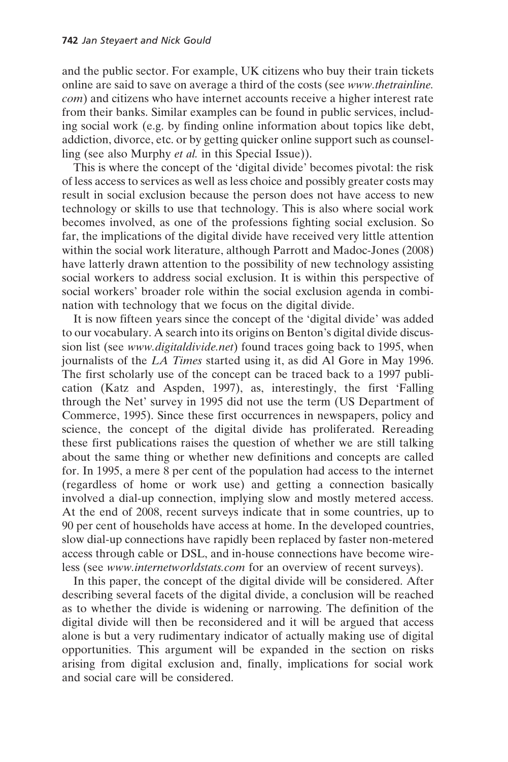and the public sector. For example, UK citizens who buy their train tickets online are said to save on average a third of the costs (see www.thetrainline. com) and citizens who have internet accounts receive a higher interest rate from their banks. Similar examples can be found in public services, including social work (e.g. by finding online information about topics like debt, addiction, divorce, etc. or by getting quicker online support such as counselling (see also Murphy et al. in this Special Issue)).

This is where the concept of the 'digital divide' becomes pivotal: the risk of less access to services as well as less choice and possibly greater costs may result in social exclusion because the person does not have access to new technology or skills to use that technology. This is also where social work becomes involved, as one of the professions fighting social exclusion. So far, the implications of the digital divide have received very little attention within the social work literature, although Parrott and Madoc-Jones (2008) have latterly drawn attention to the possibility of new technology assisting social workers to address social exclusion. It is within this perspective of social workers' broader role within the social exclusion agenda in combination with technology that we focus on the digital divide.

It is now fifteen years since the concept of the 'digital divide' was added to our vocabulary. A search into its origins on Benton's digital divide discussion list (see *www.digitaldivide.net*) found traces going back to 1995, when journalists of the LA Times started using it, as did Al Gore in May 1996. The first scholarly use of the concept can be traced back to a 1997 publication (Katz and Aspden, 1997), as, interestingly, the first 'Falling through the Net' survey in 1995 did not use the term (US Department of Commerce, 1995). Since these first occurrences in newspapers, policy and science, the concept of the digital divide has proliferated. Rereading these first publications raises the question of whether we are still talking about the same thing or whether new definitions and concepts are called for. In 1995, a mere  $\frac{8}{9}$  per cent of the population had access to the internet (regardless of home or work use) and getting a connection basically involved a dial-up connection, implying slow and mostly metered access. At the end of 2008, recent surveys indicate that in some countries, up to 90 per cent of households have access at home. In the developed countries, slow dial-up connections have rapidly been replaced by faster non-metered access through cable or DSL, and in-house connections have become wireless (see www.internetworldstats.com for an overview of recent surveys).

In this paper, the concept of the digital divide will be considered. After describing several facets of the digital divide, a conclusion will be reached as to whether the divide is widening or narrowing. The definition of the digital divide will then be reconsidered and it will be argued that access alone is but a very rudimentary indicator of actually making use of digital opportunities. This argument will be expanded in the section on risks arising from digital exclusion and, finally, implications for social work and social care will be considered.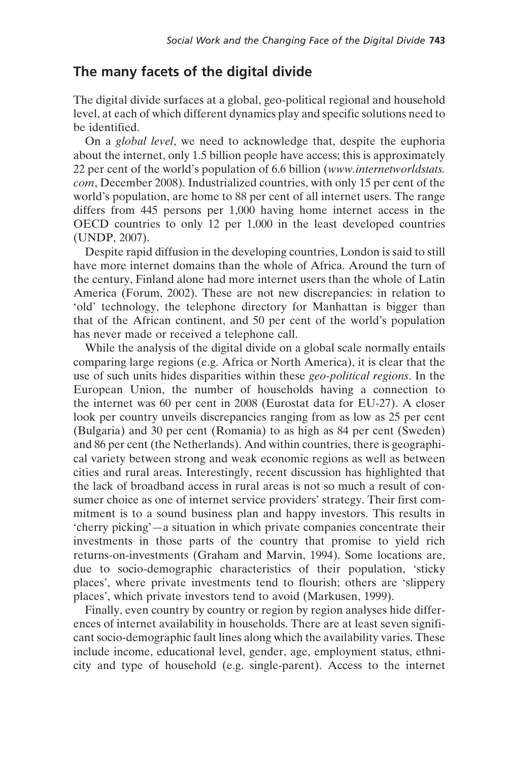#### The many facets of the digital divide

The digital divide surfaces at a global, geo-political regional and household level, at each of which different dynamics play and specific solutions need to be identified.

On a global level, we need to acknowledge that, despite the euphoria about the internet, only 1.5 billion people have access; this is approximately 22 per cent of the world's population of 6.6 billion (www.internetworldstats. com, December 2008). Industrialized countries, with only 15 per cent of the world's population, are home to 88 per cent of all internet users. The range differs from 445 persons per 1,000 having home internet access in the OECD countries to only 12 per 1,000 in the least developed countries (UNDP, 2007).

Despite rapid diffusion in the developing countries, London is said to still have more internet domains than the whole of Africa. Around the turn of the century, Finland alone had more internet users than the whole of Latin America (Forum, 2002). These are not new discrepancies: in relation to 'old' technology, the telephone directory for Manhattan is bigger than that of the African continent, and 50 per cent of the world's population has never made or received a telephone call.

While the analysis of the digital divide on a global scale normally entails comparing large regions (e.g. Africa or North America), it is clear that the use of such units hides disparities within these geo-political regions. In the European Union, the number of households having a connection to the internet was 60 per cent in 2008 (Eurostat data for EU-27). A closer look per country unveils discrepancies ranging from as low as 25 per cent (Bulgaria) and 30 per cent (Romania) to as high as 84 per cent (Sweden) and 86 per cent (the Netherlands). And within countries, there is geographical variety between strong and weak economic regions as well as between cities and rural areas. Interestingly, recent discussion has highlighted that the lack of broadband access in rural areas is not so much a result of consumer choice as one of internet service providers' strategy. Their first commitment is to a sound business plan and happy investors. This results in 'cherry picking'—a situation in which private companies concentrate their investments in those parts of the country that promise to yield rich returns-on-investments (Graham and Marvin, 1994). Some locations are, due to socio-demographic characteristics of their population, 'sticky places', where private investments tend to flourish; others are 'slippery places', which private investors tend to avoid (Markusen, 1999).

Finally, even country by country or region by region analyses hide differences of internet availability in households. There are at least seven significant socio-demographic fault lines along which the availability varies. These include income, educational level, gender, age, employment status, ethnicity and type of household (e.g. single-parent). Access to the internet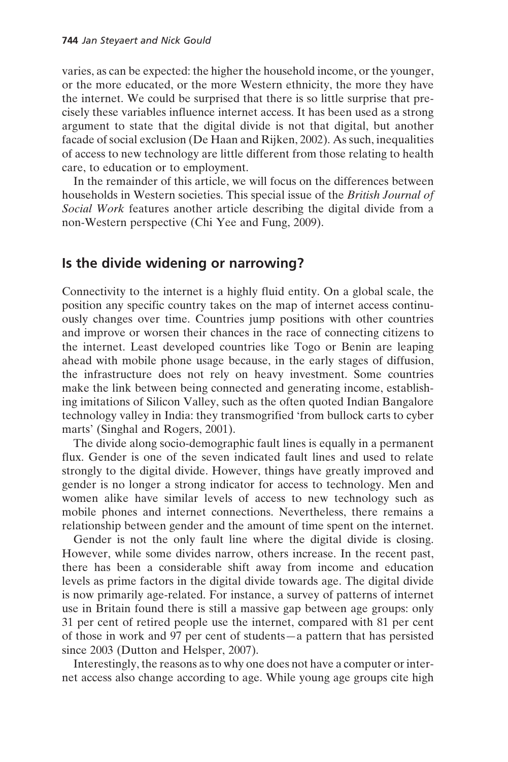varies, as can be expected: the higher the household income, or the younger, or the more educated, or the more Western ethnicity, the more they have the internet. We could be surprised that there is so little surprise that precisely these variables influence internet access. It has been used as a strong argument to state that the digital divide is not that digital, but another facade of social exclusion (De Haan and Rijken, 2002). As such, inequalities of access to new technology are little different from those relating to health care, to education or to employment.

In the remainder of this article, we will focus on the differences between households in Western societies. This special issue of the British Journal of Social Work features another article describing the digital divide from a non-Western perspective (Chi Yee and Fung, 2009).

#### Is the divide widening or narrowing?

Connectivity to the internet is a highly fluid entity. On a global scale, the position any specific country takes on the map of internet access continuously changes over time. Countries jump positions with other countries and improve or worsen their chances in the race of connecting citizens to the internet. Least developed countries like Togo or Benin are leaping ahead with mobile phone usage because, in the early stages of diffusion, the infrastructure does not rely on heavy investment. Some countries make the link between being connected and generating income, establishing imitations of Silicon Valley, such as the often quoted Indian Bangalore technology valley in India: they transmogrified 'from bullock carts to cyber marts' (Singhal and Rogers, 2001).

The divide along socio-demographic fault lines is equally in a permanent flux. Gender is one of the seven indicated fault lines and used to relate strongly to the digital divide. However, things have greatly improved and gender is no longer a strong indicator for access to technology. Men and women alike have similar levels of access to new technology such as mobile phones and internet connections. Nevertheless, there remains a relationship between gender and the amount of time spent on the internet.

Gender is not the only fault line where the digital divide is closing. However, while some divides narrow, others increase. In the recent past, there has been a considerable shift away from income and education levels as prime factors in the digital divide towards age. The digital divide is now primarily age-related. For instance, a survey of patterns of internet use in Britain found there is still a massive gap between age groups: only 31 per cent of retired people use the internet, compared with 81 per cent of those in work and 97 per cent of students—a pattern that has persisted since 2003 (Dutton and Helsper, 2007).

Interestingly, the reasons as to why one does not have a computer or internet access also change according to age. While young age groups cite high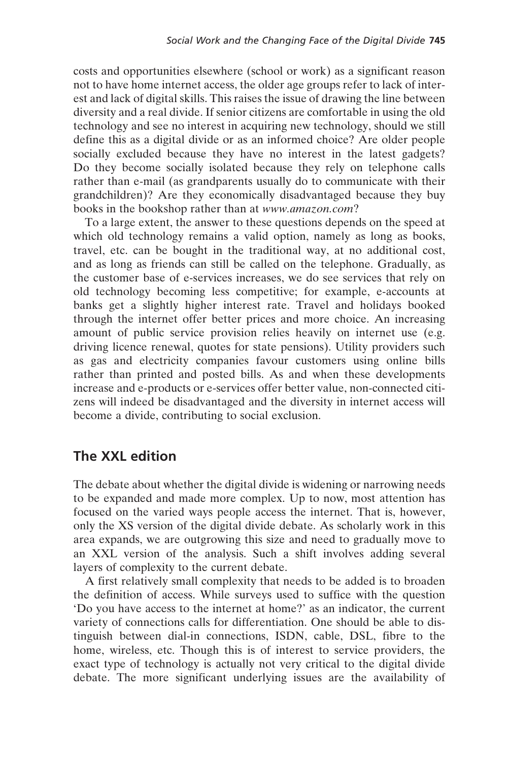costs and opportunities elsewhere (school or work) as a significant reason not to have home internet access, the older age groups refer to lack of interest and lack of digital skills. This raises the issue of drawing the line between diversity and a real divide. If senior citizens are comfortable in using the old technology and see no interest in acquiring new technology, should we still define this as a digital divide or as an informed choice? Are older people socially excluded because they have no interest in the latest gadgets? Do they become socially isolated because they rely on telephone calls rather than e-mail (as grandparents usually do to communicate with their grandchildren)? Are they economically disadvantaged because they buy books in the bookshop rather than at www.amazon.com?

To a large extent, the answer to these questions depends on the speed at which old technology remains a valid option, namely as long as books, travel, etc. can be bought in the traditional way, at no additional cost, and as long as friends can still be called on the telephone. Gradually, as the customer base of e-services increases, we do see services that rely on old technology becoming less competitive; for example, e-accounts at banks get a slightly higher interest rate. Travel and holidays booked through the internet offer better prices and more choice. An increasing amount of public service provision relies heavily on internet use (e.g. driving licence renewal, quotes for state pensions). Utility providers such as gas and electricity companies favour customers using online bills rather than printed and posted bills. As and when these developments increase and e-products or e-services offer better value, non-connected citizens will indeed be disadvantaged and the diversity in internet access will become a divide, contributing to social exclusion.

#### The XXL edition

The debate about whether the digital divide is widening or narrowing needs to be expanded and made more complex. Up to now, most attention has focused on the varied ways people access the internet. That is, however, only the XS version of the digital divide debate. As scholarly work in this area expands, we are outgrowing this size and need to gradually move to an XXL version of the analysis. Such a shift involves adding several layers of complexity to the current debate.

A first relatively small complexity that needs to be added is to broaden the definition of access. While surveys used to suffice with the question 'Do you have access to the internet at home?' as an indicator, the current variety of connections calls for differentiation. One should be able to distinguish between dial-in connections, ISDN, cable, DSL, fibre to the home, wireless, etc. Though this is of interest to service providers, the exact type of technology is actually not very critical to the digital divide debate. The more significant underlying issues are the availability of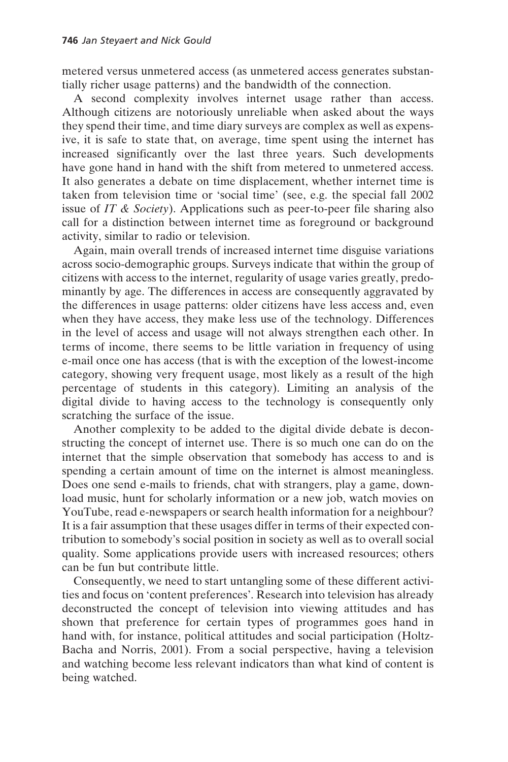metered versus unmetered access (as unmetered access generates substantially richer usage patterns) and the bandwidth of the connection.

A second complexity involves internet usage rather than access. Although citizens are notoriously unreliable when asked about the ways they spend their time, and time diary surveys are complex as well as expensive, it is safe to state that, on average, time spent using the internet has increased significantly over the last three years. Such developments have gone hand in hand with the shift from metered to unmetered access. It also generates a debate on time displacement, whether internet time is taken from television time or 'social time' (see, e.g. the special fall 2002 issue of IT  $\&$  Society). Applications such as peer-to-peer file sharing also call for a distinction between internet time as foreground or background activity, similar to radio or television.

Again, main overall trends of increased internet time disguise variations across socio-demographic groups. Surveys indicate that within the group of citizens with access to the internet, regularity of usage varies greatly, predominantly by age. The differences in access are consequently aggravated by the differences in usage patterns: older citizens have less access and, even when they have access, they make less use of the technology. Differences in the level of access and usage will not always strengthen each other. In terms of income, there seems to be little variation in frequency of using e-mail once one has access (that is with the exception of the lowest-income category, showing very frequent usage, most likely as a result of the high percentage of students in this category). Limiting an analysis of the digital divide to having access to the technology is consequently only scratching the surface of the issue.

Another complexity to be added to the digital divide debate is deconstructing the concept of internet use. There is so much one can do on the internet that the simple observation that somebody has access to and is spending a certain amount of time on the internet is almost meaningless. Does one send e-mails to friends, chat with strangers, play a game, download music, hunt for scholarly information or a new job, watch movies on YouTube, read e-newspapers or search health information for a neighbour? It is a fair assumption that these usages differ in terms of their expected contribution to somebody's social position in society as well as to overall social quality. Some applications provide users with increased resources; others can be fun but contribute little.

Consequently, we need to start untangling some of these different activities and focus on 'content preferences'. Research into television has already deconstructed the concept of television into viewing attitudes and has shown that preference for certain types of programmes goes hand in hand with, for instance, political attitudes and social participation (Holtz-Bacha and Norris, 2001). From a social perspective, having a television and watching become less relevant indicators than what kind of content is being watched.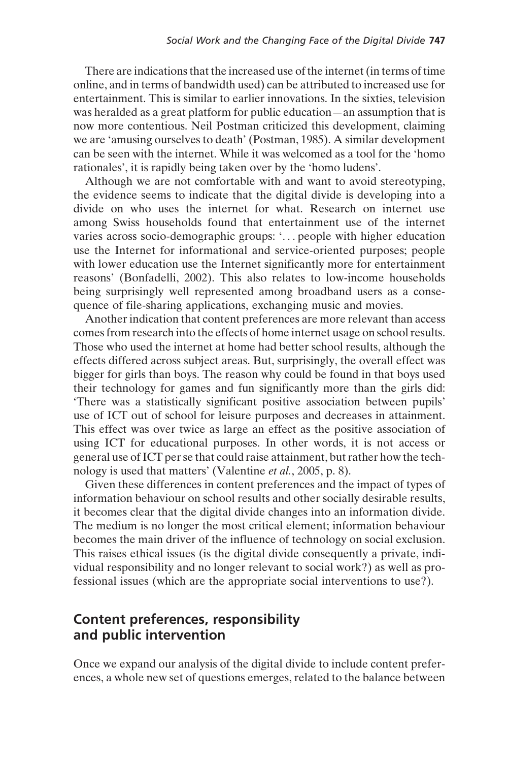There are indications that the increased use of the internet (in terms of time online, and in terms of bandwidth used) can be attributed to increased use for entertainment. This is similar to earlier innovations. In the sixties, television was heralded as a great platform for public education—an assumption that is now more contentious. Neil Postman criticized this development, claiming we are 'amusing ourselves to death' (Postman, 1985). A similar development can be seen with the internet. While it was welcomed as a tool for the 'homo rationales', it is rapidly being taken over by the 'homo ludens'.

Although we are not comfortable with and want to avoid stereotyping, the evidence seems to indicate that the digital divide is developing into a divide on who uses the internet for what. Research on internet use among Swiss households found that entertainment use of the internet varies across socio-demographic groups: '... people with higher education use the Internet for informational and service-oriented purposes; people with lower education use the Internet significantly more for entertainment reasons' (Bonfadelli, 2002). This also relates to low-income households being surprisingly well represented among broadband users as a consequence of file-sharing applications, exchanging music and movies.

Another indication that content preferences are more relevant than access comes from research into the effects of home internet usage on school results. Those who used the internet at home had better school results, although the effects differed across subject areas. But, surprisingly, the overall effect was bigger for girls than boys. The reason why could be found in that boys used their technology for games and fun significantly more than the girls did: 'There was a statistically significant positive association between pupils' use of ICT out of school for leisure purposes and decreases in attainment. This effect was over twice as large an effect as the positive association of using ICT for educational purposes. In other words, it is not access or general use of ICT per se that could raise attainment, but rather how the technology is used that matters' (Valentine et al., 2005, p. 8).

Given these differences in content preferences and the impact of types of information behaviour on school results and other socially desirable results, it becomes clear that the digital divide changes into an information divide. The medium is no longer the most critical element; information behaviour becomes the main driver of the influence of technology on social exclusion. This raises ethical issues (is the digital divide consequently a private, individual responsibility and no longer relevant to social work?) as well as professional issues (which are the appropriate social interventions to use?).

#### Content preferences, responsibility and public intervention

Once we expand our analysis of the digital divide to include content preferences, a whole new set of questions emerges, related to the balance between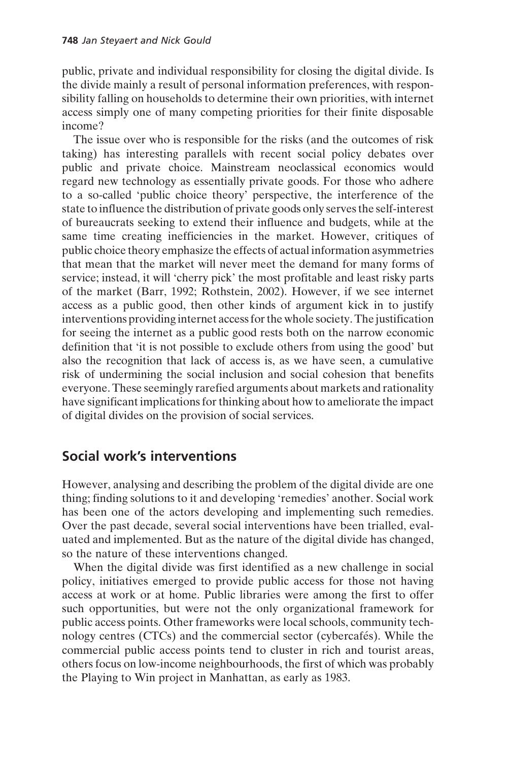public, private and individual responsibility for closing the digital divide. Is the divide mainly a result of personal information preferences, with responsibility falling on households to determine their own priorities, with internet access simply one of many competing priorities for their finite disposable income?

The issue over who is responsible for the risks (and the outcomes of risk taking) has interesting parallels with recent social policy debates over public and private choice. Mainstream neoclassical economics would regard new technology as essentially private goods. For those who adhere to a so-called 'public choice theory' perspective, the interference of the state to influence the distribution of private goods only serves the self-interest of bureaucrats seeking to extend their influence and budgets, while at the same time creating inefficiencies in the market. However, critiques of public choice theory emphasize the effects of actual information asymmetries that mean that the market will never meet the demand for many forms of service; instead, it will 'cherry pick' the most profitable and least risky parts of the market (Barr, 1992; Rothstein, 2002). However, if we see internet access as a public good, then other kinds of argument kick in to justify interventions providing internet access for the whole society. The justification for seeing the internet as a public good rests both on the narrow economic definition that 'it is not possible to exclude others from using the good' but also the recognition that lack of access is, as we have seen, a cumulative risk of undermining the social inclusion and social cohesion that benefits everyone. These seemingly rarefied arguments about markets and rationality have significant implications for thinking about how to ameliorate the impact of digital divides on the provision of social services.

### Social work's interventions

However, analysing and describing the problem of the digital divide are one thing; finding solutions to it and developing 'remedies' another. Social work has been one of the actors developing and implementing such remedies. Over the past decade, several social interventions have been trialled, evaluated and implemented. But as the nature of the digital divide has changed, so the nature of these interventions changed.

When the digital divide was first identified as a new challenge in social policy, initiatives emerged to provide public access for those not having access at work or at home. Public libraries were among the first to offer such opportunities, but were not the only organizational framework for public access points. Other frameworks were local schools, community technology centres (CTCs) and the commercial sector (cybercafés). While the commercial public access points tend to cluster in rich and tourist areas, others focus on low-income neighbourhoods, the first of which was probably the Playing to Win project in Manhattan, as early as 1983.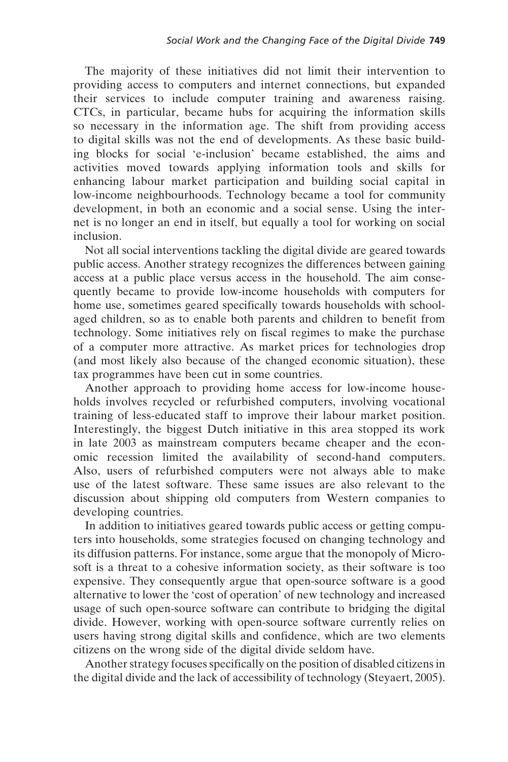The majority of these initiatives did not limit their intervention to providing access to computers and internet connections, but expanded their services to include computer training and awareness raising. CTCs, in particular, became hubs for acquiring the information skills so necessary in the information age. The shift from providing access to digital skills was not the end of developments. As these basic building blocks for social 'e-inclusion' became established, the aims and activities moved towards applying information tools and skills for enhancing labour market participation and building social capital in low-income neighbourhoods. Technology became a tool for community development, in both an economic and a social sense. Using the internet is no longer an end in itself, but equally a tool for working on social inclusion.

Not all social interventions tackling the digital divide are geared towards public access. Another strategy recognizes the differences between gaining access at a public place versus access in the household. The aim consequently became to provide low-income households with computers for home use, sometimes geared specifically towards households with schoolaged children, so as to enable both parents and children to benefit from technology. Some initiatives rely on fiscal regimes to make the purchase of a computer more attractive. As market prices for technologies drop (and most likely also because of the changed economic situation), these tax programmes have been cut in some countries.

Another approach to providing home access for low-income households involves recycled or refurbished computers, involving vocational training of less-educated staff to improve their labour market position. Interestingly, the biggest Dutch initiative in this area stopped its work in late 2003 as mainstream computers became cheaper and the economic recession limited the availability of second-hand computers. Also, users of refurbished computers were not always able to make use of the latest software. These same issues are also relevant to the discussion about shipping old computers from Western companies to developing countries.

In addition to initiatives geared towards public access or getting computers into households, some strategies focused on changing technology and its diffusion patterns. For instance, some argue that the monopoly of Microsoft is a threat to a cohesive information society, as their software is too expensive. They consequently argue that open-source software is a good alternative to lower the 'cost of operation' of new technology and increased usage of such open-source software can contribute to bridging the digital divide. However, working with open-source software currently relies on users having strong digital skills and confidence, which are two elements citizens on the wrong side of the digital divide seldom have.

Another strategy focuses specifically on the position of disabled citizens in the digital divide and the lack of accessibility of technology (Steyaert, 2005).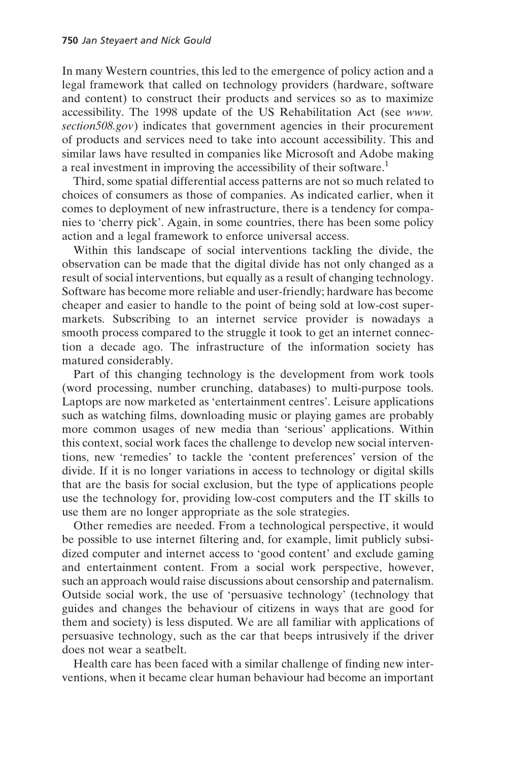In many Western countries, this led to the emergence of policy action and a legal framework that called on technology providers (hardware, software and content) to construct their products and services so as to maximize accessibility. The 1998 update of the US Rehabilitation Act (see www. section508.gov) indicates that government agencies in their procurement of products and services need to take into account accessibility. This and similar laws have resulted in companies like Microsoft and Adobe making a real investment in improving the accessibility of their software.<sup>1</sup>

Third, some spatial differential access patterns are not so much related to choices of consumers as those of companies. As indicated earlier, when it comes to deployment of new infrastructure, there is a tendency for companies to 'cherry pick'. Again, in some countries, there has been some policy action and a legal framework to enforce universal access.

Within this landscape of social interventions tackling the divide, the observation can be made that the digital divide has not only changed as a result of social interventions, but equally as a result of changing technology. Software has become more reliable and user-friendly; hardware has become cheaper and easier to handle to the point of being sold at low-cost supermarkets. Subscribing to an internet service provider is nowadays a smooth process compared to the struggle it took to get an internet connection a decade ago. The infrastructure of the information society has matured considerably.

Part of this changing technology is the development from work tools (word processing, number crunching, databases) to multi-purpose tools. Laptops are now marketed as 'entertainment centres'. Leisure applications such as watching films, downloading music or playing games are probably more common usages of new media than 'serious' applications. Within this context, social work faces the challenge to develop new social interventions, new 'remedies' to tackle the 'content preferences' version of the divide. If it is no longer variations in access to technology or digital skills that are the basis for social exclusion, but the type of applications people use the technology for, providing low-cost computers and the IT skills to use them are no longer appropriate as the sole strategies.

Other remedies are needed. From a technological perspective, it would be possible to use internet filtering and, for example, limit publicly subsidized computer and internet access to 'good content' and exclude gaming and entertainment content. From a social work perspective, however, such an approach would raise discussions about censorship and paternalism. Outside social work, the use of 'persuasive technology' (technology that guides and changes the behaviour of citizens in ways that are good for them and society) is less disputed. We are all familiar with applications of persuasive technology, such as the car that beeps intrusively if the driver does not wear a seatbelt.

Health care has been faced with a similar challenge of finding new interventions, when it became clear human behaviour had become an important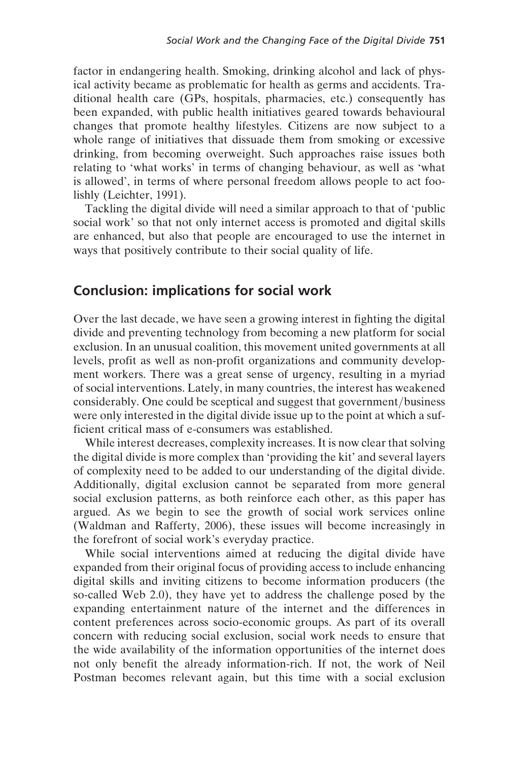factor in endangering health. Smoking, drinking alcohol and lack of physical activity became as problematic for health as germs and accidents. Traditional health care (GPs, hospitals, pharmacies, etc.) consequently has been expanded, with public health initiatives geared towards behavioural changes that promote healthy lifestyles. Citizens are now subject to a whole range of initiatives that dissuade them from smoking or excessive drinking, from becoming overweight. Such approaches raise issues both relating to 'what works' in terms of changing behaviour, as well as 'what is allowed', in terms of where personal freedom allows people to act foolishly (Leichter, 1991).

Tackling the digital divide will need a similar approach to that of 'public social work' so that not only internet access is promoted and digital skills are enhanced, but also that people are encouraged to use the internet in ways that positively contribute to their social quality of life.

#### Conclusion: implications for social work

Over the last decade, we have seen a growing interest in fighting the digital divide and preventing technology from becoming a new platform for social exclusion. In an unusual coalition, this movement united governments at all levels, profit as well as non-profit organizations and community development workers. There was a great sense of urgency, resulting in a myriad of social interventions. Lately, in many countries, the interest has weakened considerably. One could be sceptical and suggest that government/business were only interested in the digital divide issue up to the point at which a sufficient critical mass of e-consumers was established.

While interest decreases, complexity increases. It is now clear that solving the digital divide is more complex than 'providing the kit' and several layers of complexity need to be added to our understanding of the digital divide. Additionally, digital exclusion cannot be separated from more general social exclusion patterns, as both reinforce each other, as this paper has argued. As we begin to see the growth of social work services online (Waldman and Rafferty, 2006), these issues will become increasingly in the forefront of social work's everyday practice.

While social interventions aimed at reducing the digital divide have expanded from their original focus of providing access to include enhancing digital skills and inviting citizens to become information producers (the so-called Web 2.0), they have yet to address the challenge posed by the expanding entertainment nature of the internet and the differences in content preferences across socio-economic groups. As part of its overall concern with reducing social exclusion, social work needs to ensure that the wide availability of the information opportunities of the internet does not only benefit the already information-rich. If not, the work of Neil Postman becomes relevant again, but this time with a social exclusion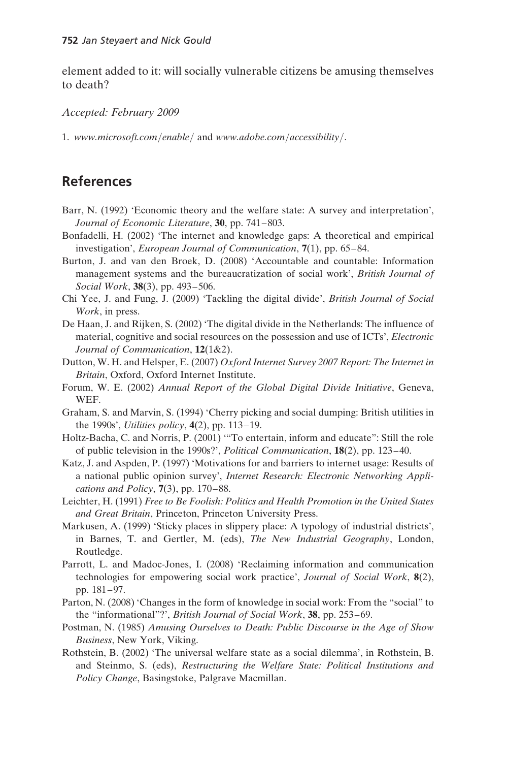element added to it: will socially vulnerable citizens be amusing themselves to death?

#### Accepted: February 2009

1. www.microsoft.com/enable/ and www.adobe.com/accessibility/.

#### References

- Barr, N. (1992) 'Economic theory and the welfare state: A survey and interpretation', Journal of Economic Literature, 30, pp. 741-803.
- Bonfadelli, H. (2002) 'The internet and knowledge gaps: A theoretical and empirical investigation', European Journal of Communication, 7(1), pp. 65 – 84.
- Burton, J. and van den Broek, D. (2008) 'Accountable and countable: Information management systems and the bureaucratization of social work', British Journal of Social Work, **38**(3), pp. 493–506.
- Chi Yee, J. and Fung, J. (2009) 'Tackling the digital divide', British Journal of Social Work, in press.
- De Haan, J. and Rijken, S. (2002) 'The digital divide in the Netherlands: The influence of material, cognitive and social resources on the possession and use of ICTs', Electronic Journal of Communication, 12(1&2).
- Dutton, W. H. and Helsper, E. (2007) Oxford Internet Survey 2007 Report: The Internet in Britain, Oxford, Oxford Internet Institute.
- Forum, W. E. (2002) Annual Report of the Global Digital Divide Initiative, Geneva, WEF.
- Graham, S. and Marvin, S. (1994) 'Cherry picking and social dumping: British utilities in the 1990s', Utilities policy,  $4(2)$ , pp. 113–19.
- Holtz-Bacha, C. and Norris, P. (2001) '"To entertain, inform and educate": Still the role of public television in the 1990s?', *Political Communication*, **18**(2), pp. 123–40.
- Katz, J. and Aspden, P. (1997) 'Motivations for and barriers to internet usage: Results of a national public opinion survey', Internet Research: Electronic Networking Applications and Policy,  $7(3)$ , pp. 170-88.
- Leichter, H. (1991) Free to Be Foolish: Politics and Health Promotion in the United States and Great Britain, Princeton, Princeton University Press.
- Markusen, A. (1999) 'Sticky places in slippery place: A typology of industrial districts', in Barnes, T. and Gertler, M. (eds), The New Industrial Geography, London, Routledge.
- Parrott, L. and Madoc-Jones, I. (2008) 'Reclaiming information and communication technologies for empowering social work practice', Journal of Social Work, 8(2), pp. 181 – 97.
- Parton, N. (2008) 'Changes in the form of knowledge in social work: From the "social" to the "informational"?', British Journal of Social Work, 38, pp. 253-69.
- Postman, N. (1985) Amusing Ourselves to Death: Public Discourse in the Age of Show Business, New York, Viking.
- Rothstein, B. (2002) 'The universal welfare state as a social dilemma', in Rothstein, B. and Steinmo, S. (eds), Restructuring the Welfare State: Political Institutions and Policy Change, Basingstoke, Palgrave Macmillan.